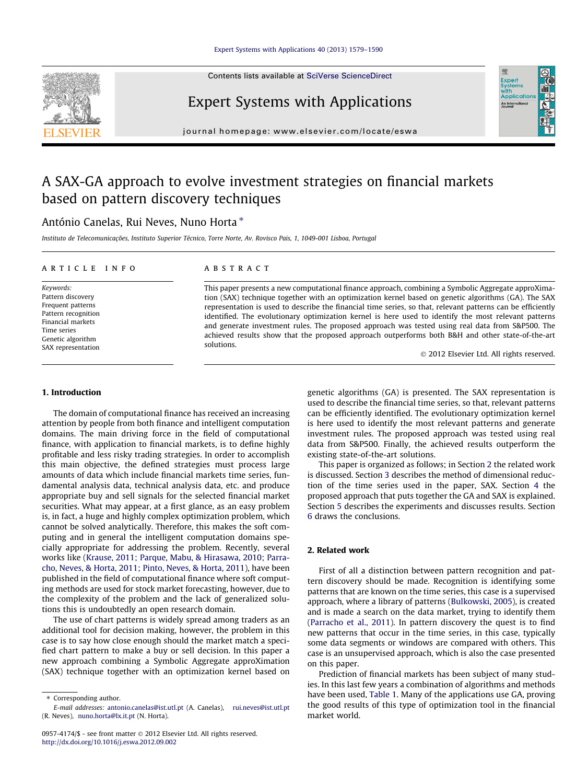#### [Expert Systems with Applications 40 \(2013\) 1579–1590](http://dx.doi.org/10.1016/j.eswa.2012.09.002)

Contents lists available at [SciVerse ScienceDirect](http://www.sciencedirect.com/science/journal/09574174)



Expert Systems with Applications

journal homepage: [www.elsevier.com/locate/eswa](http://www.elsevier.com/locate/eswa)

# A SAX-GA approach to evolve investment strategies on financial markets based on pattern discovery techniques

## António Canelas, Rui Neves, Nuno Horta ⇑

Instituto de Telecomunicações, Instituto Superior Técnico, Torre Norte, Av. Rovisco Pais, 1, 1049-001 Lisboa, Portugal

#### article info

Keywords: Pattern discovery Frequent patterns Pattern recognition Financial markets Time series Genetic algorithm SAX representation

#### ABSTRACT

This paper presents a new computational finance approach, combining a Symbolic Aggregate approXimation (SAX) technique together with an optimization kernel based on genetic algorithms (GA). The SAX representation is used to describe the financial time series, so that, relevant patterns can be efficiently identified. The evolutionary optimization kernel is here used to identify the most relevant patterns and generate investment rules. The proposed approach was tested using real data from S&P500. The achieved results show that the proposed approach outperforms both B&H and other state-of-the-art solutions.

- 2012 Elsevier Ltd. All rights reserved.

Expert<br>Syster **Applicatio** An Interna

#### 1. Introduction

The domain of computational finance has received an increasing attention by people from both finance and intelligent computation domains. The main driving force in the field of computational finance, with application to financial markets, is to define highly profitable and less risky trading strategies. In order to accomplish this main objective, the defined strategies must process large amounts of data which include financial markets time series, fundamental analysis data, technical analysis data, etc. and produce appropriate buy and sell signals for the selected financial market securities. What may appear, at a first glance, as an easy problem is, in fact, a huge and highly complex optimization problem, which cannot be solved analytically. Therefore, this makes the soft computing and in general the intelligent computation domains specially appropriate for addressing the problem. Recently, several works like [\(Krause, 2011; Parque, Mabu, & Hirasawa, 2010; Parra](#page--1-0)[cho, Neves, & Horta, 2011; Pinto, Neves, & Horta, 2011](#page--1-0)), have been published in the field of computational finance where soft computing methods are used for stock market forecasting, however, due to the complexity of the problem and the lack of generalized solutions this is undoubtedly an open research domain.

The use of chart patterns is widely spread among traders as an additional tool for decision making, however, the problem in this case is to say how close enough should the market match a specified chart pattern to make a buy or sell decision. In this paper a new approach combining a Symbolic Aggregate approXimation (SAX) technique together with an optimization kernel based on

⇑ Corresponding author.

genetic algorithms (GA) is presented. The SAX representation is used to describe the financial time series, so that, relevant patterns can be efficiently identified. The evolutionary optimization kernel is here used to identify the most relevant patterns and generate investment rules. The proposed approach was tested using real data from S&P500. Finally, the achieved results outperform the existing state-of-the-art solutions.

This paper is organized as follows; in Section 2 the related work is discussed. Section [3](#page-1-0) describes the method of dimensional reduction of the time series used in the paper, SAX. Section [4](#page--1-0) the proposed approach that puts together the GA and SAX is explained. Section [5](#page--1-0) describes the experiments and discusses results. Section [6](#page--1-0) draws the conclusions.

### 2. Related work

First of all a distinction between pattern recognition and pattern discovery should be made. Recognition is identifying some patterns that are known on the time series, this case is a supervised approach, where a library of patterns [\(Bulkowski, 2005](#page--1-0)), is created and is made a search on the data market, trying to identify them ([Parracho et al., 2011\)](#page--1-0). In pattern discovery the quest is to find new patterns that occur in the time series, in this case, typically some data segments or windows are compared with others. This case is an unsupervised approach, which is also the case presented on this paper.

Prediction of financial markets has been subject of many studies. In this last few years a combination of algorithms and methods have been used, [Table 1](#page-1-0). Many of the applications use GA, proving the good results of this type of optimization tool in the financial market world.

E-mail addresses: [antonio.canelas@ist.utl.pt](mailto:antonio.canelas@ist.utl.pt) (A. Canelas), [rui.neves@ist.utl.pt](mailto:  rui.neves@ist.utl.pt  ) (R. Neves), [nuno.horta@lx.it.pt](mailto: nuno.horta@lx.it.pt) (N. Horta).

<sup>0957-4174/\$ -</sup> see front matter © 2012 Elsevier Ltd. All rights reserved. <http://dx.doi.org/10.1016/j.eswa.2012.09.002>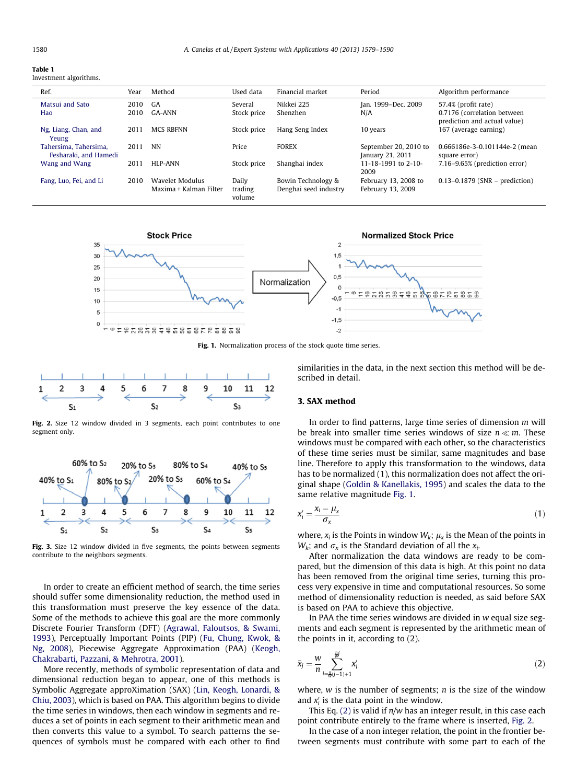#### <span id="page-1-0"></span>Table 1

Investment algorithms.

| Ref.                                           | Year | Method                                    | Used data                  | Financial market                            | Period                                    | Algorithm performance                                       |
|------------------------------------------------|------|-------------------------------------------|----------------------------|---------------------------------------------|-------------------------------------------|-------------------------------------------------------------|
| Matsui and Sato                                | 2010 | GA                                        | Several                    | Nikkei 225                                  | Jan. 1999–Dec. 2009                       | 57.4% (profit rate)                                         |
| Hao                                            | 2010 | GA-ANN                                    | Stock price                | Shenzhen                                    | N/A                                       | 0.7176 (correlation between<br>prediction and actual value) |
| Ng, Liang, Chan, and<br>Yeung                  | 2011 | <b>MCS RBFNN</b>                          | Stock price                | Hang Seng Index                             | 10 years                                  | 167 (average earning)                                       |
| Tahersima, Tahersima,<br>Fesharaki, and Hamedi | 2011 | NN                                        | Price                      | <b>FOREX</b>                                | September 20, 2010 to<br>January 21, 2011 | 0.666186e-3-0.101144e-2 (mean<br>square error)              |
| Wang and Wang                                  | 2011 | HLP-ANN                                   | Stock price                | Shanghai index                              | 11-18-1991 to 2-10-<br>2009               | 7.16–9.65% (prediction error)                               |
| Fang, Luo, Fei, and Li                         | 2010 | Wavelet Modulus<br>Maxima + Kalman Filter | Daily<br>trading<br>volume | Bowin Technology &<br>Denghai seed industry | February 13, 2008 to<br>February 13, 2009 | $0.13 - 0.1879$ (SNR – prediction)                          |



Fig. 1. Normalization process of the stock quote time series.



Fig. 2. Size 12 window divided in 3 segments, each point contributes to one segment only.



Fig. 3. Size 12 window divided in five segments, the points between segments contribute to the neighbors segments.

In order to create an efficient method of search, the time series should suffer some dimensionality reduction, the method used in this transformation must preserve the key essence of the data. Some of the methods to achieve this goal are the more commonly Discrete Fourier Transform (DFT) ([Agrawal, Faloutsos, & Swami,](#page--1-0) [1993\)](#page--1-0), Perceptually Important Points (PIP) ([Fu, Chung, Kwok, &](#page--1-0) [Ng, 2008\)](#page--1-0), Piecewise Aggregate Approximation (PAA) [\(Keogh,](#page--1-0) [Chakrabarti, Pazzani, & Mehrotra, 2001\)](#page--1-0).

More recently, methods of symbolic representation of data and dimensional reduction began to appear, one of this methods is Symbolic Aggregate approXimation (SAX) [\(Lin, Keogh, Lonardi, &](#page--1-0) [Chiu, 2003\)](#page--1-0), which is based on PAA. This algorithm begins to divide the time series in windows, then each window in segments and reduces a set of points in each segment to their arithmetic mean and then converts this value to a symbol. To search patterns the sequences of symbols must be compared with each other to find similarities in the data, in the next section this method will be described in detail.

#### 3. SAX method

In order to find patterns, large time series of dimension m will be break into smaller time series windows of size  $n \ll m$ . These windows must be compared with each other, so the characteristics of these time series must be similar, same magnitudes and base line. Therefore to apply this transformation to the windows, data has to be normalized (1), this normalization does not affect the original shape ([Goldin & Kanellakis, 1995\)](#page--1-0) and scales the data to the same relative magnitude Fig. 1.

$$
x_i' = \frac{x_i - \mu_x}{\sigma_x} \tag{1}
$$

where,  $x_i$  is the Points in window  $W_k$ ;  $\mu_x$  is the Mean of the points in  $W_k$ ; and  $\sigma_x$  is the Standard deviation of all the  $x_i$ .

After normalization the data windows are ready to be compared, but the dimension of this data is high. At this point no data has been removed from the original time series, turning this process very expensive in time and computational resources. So some method of dimensionality reduction is needed, as said before SAX is based on PAA to achieve this objective.

In PAA the time series windows are divided in w equal size segments and each segment is represented by the arithmetic mean of the points in it, according to (2).

$$
\bar{x}_j = \frac{w}{n} \sum_{i = \frac{n}{w}(j-1)+1}^{\frac{n}{w}y} x'_i
$$
 (2)

where,  $w$  is the number of segments;  $n$  is the size of the window and  $x_i$  is the data point in the window.

This Eq. (2) is valid if  $n/w$  has an integer result, in this case each point contribute entirely to the frame where is inserted, Fig. 2.

In the case of a non integer relation, the point in the frontier between segments must contribute with some part to each of the